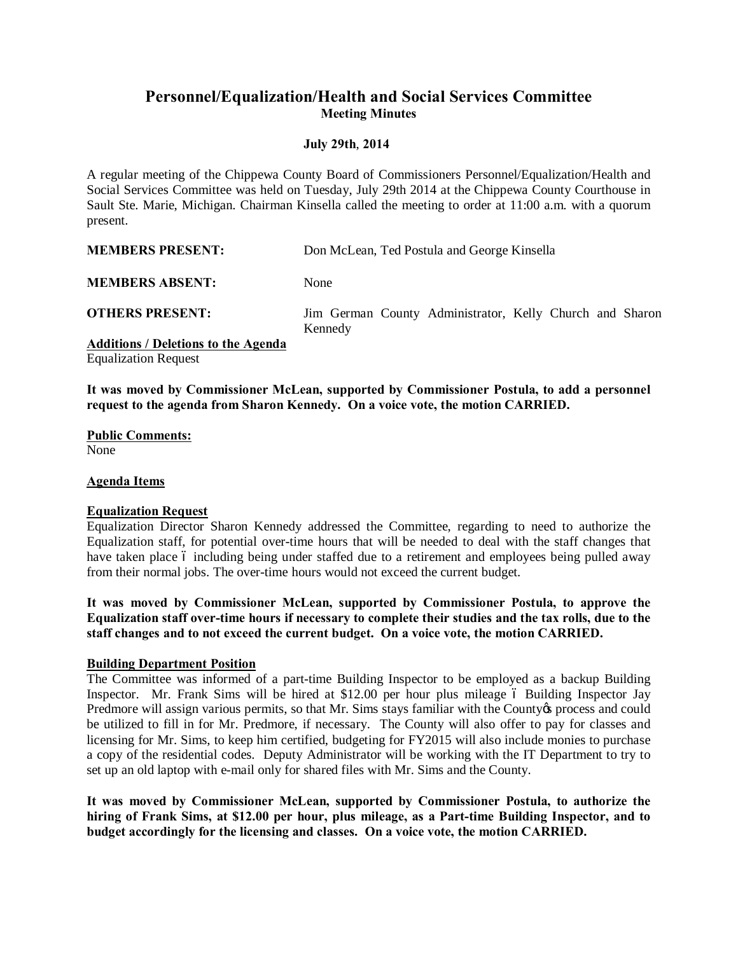# **Personnel/Equalization/Health and Social Services Committee Meeting Minutes**

## **July 29th**, **2014**

A regular meeting of the Chippewa County Board of Commissioners Personnel/Equalization/Health and Social Services Committee was held on Tuesday, July 29th 2014 at the Chippewa County Courthouse in Sault Ste. Marie, Michigan. Chairman Kinsella called the meeting to order at 11:00 a.m. with a quorum present.

**MEMBERS PRESENT:** Don McLean, Ted Postula and George Kinsella

**MEMBERS ABSENT:** None

**OTHERS PRESENT:** Jim German County Administrator, Kelly Church and Sharon Kennedy

**Additions / Deletions to the Agenda**

Equalization Request

**It was moved by Commissioner McLean, supported by Commissioner Postula, to add a personnel request to the agenda from Sharon Kennedy. On a voice vote, the motion CARRIED.**

**Public Comments:**  None

## **Agenda Items**

## **Equalization Request**

Equalization Director Sharon Kennedy addressed the Committee, regarding to need to authorize the Equalization staff, for potential over-time hours that will be needed to deal with the staff changes that have taken place 6 including being under staffed due to a retirement and employees being pulled away from their normal jobs. The over-time hours would not exceed the current budget.

**It was moved by Commissioner McLean, supported by Commissioner Postula, to approve the Equalization staff over-time hours if necessary to complete their studies and the tax rolls, due to the staff changes and to not exceed the current budget. On a voice vote, the motion CARRIED.**

#### **Building Department Position**

The Committee was informed of a part-time Building Inspector to be employed as a backup Building Inspector. Mr. Frank Sims will be hired at \$12.00 per hour plus mileage 6 Building Inspector Jay Predmore will assign various permits, so that Mr. Sims stays familiar with the County oprocess and could be utilized to fill in for Mr. Predmore, if necessary. The County will also offer to pay for classes and licensing for Mr. Sims, to keep him certified, budgeting for FY2015 will also include monies to purchase a copy of the residential codes. Deputy Administrator will be working with the IT Department to try to set up an old laptop with e-mail only for shared files with Mr. Sims and the County.

**It was moved by Commissioner McLean, supported by Commissioner Postula, to authorize the hiring of Frank Sims, at \$12.00 per hour, plus mileage, as a Part-time Building Inspector, and to budget accordingly for the licensing and classes. On a voice vote, the motion CARRIED.**